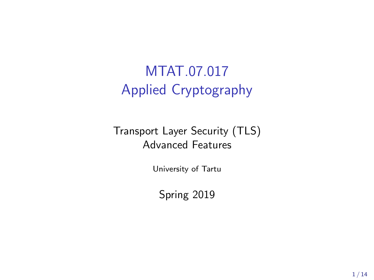# MTAT.07.017 Applied Cryptography

#### Transport Layer Security (TLS) Advanced Features

University of Tartu

Spring 2019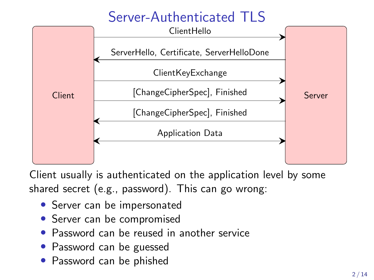# Server-Authenticated TLS



Client usually is authenticated on the application level by some shared secret (e.g., password). This can go wrong:

- Server can be impersonated
- Server can be compromised
- Password can be reused in another service
- Password can be guessed
- Password can be phished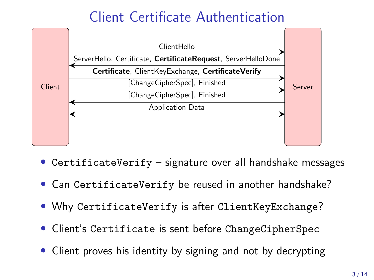## Client Certificate Authentication



- CertificateVerify signature over all handshake messages
- Can CertificateVerify be reused in another handshake?
- Why CertificateVerify is after ClientKeyExchange?
- Client's Certificate is sent before ChangeCipherSpec
- Client proves his identity by signing and not by decrypting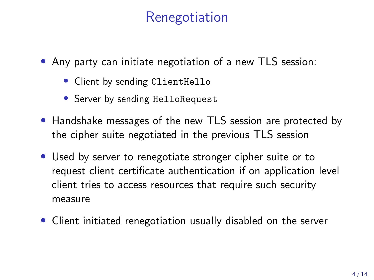## Renegotiation

- Any party can initiate negotiation of a new TLS session:
	- Client by sending ClientHello
	- Server by sending HelloRequest
- Handshake messages of the new TLS session are protected by the cipher suite negotiated in the previous TLS session
- Used by server to renegotiate stronger cipher suite or to request client certificate authentication if on application level client tries to access resources that require such security measure
- Client initiated renegotiation usually disabled on the server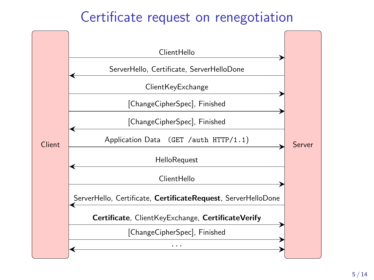#### Certificate request on renegotiation

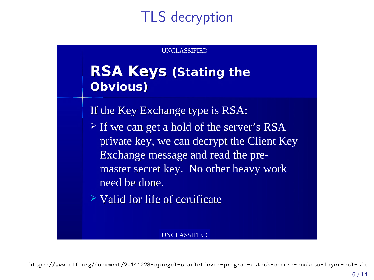# TLS decryption

#### UNCLASSIFIED

#### RSA Keys (Stating the Obvious)

If the Key Exchange type is RSA:

- $\geq$  If we can get a hold of the server's RSA private key, we can decrypt the Client Key Exchange message and read the pre master secret key. No other heavy work need be done.<br>  $\geq$  Valid for life of certificate
- 

#### UNCLASSIFIED

<https://www.eff.org/document/20141228-spiegel-scarletfever-program-attack-secure-sockets-layer-ssl-tls>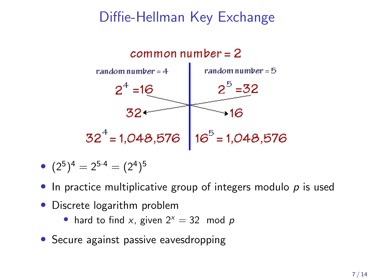### Diffie-Hellman Key Exchange



• 
$$
(2^5)^4 = 2^{5 \cdot 4} = (2^4)^5
$$

- $\bullet$  In practice multiplicative group of integers modulo  $p$  is used
- Discrete logarithm problem
	- hard to find x, given  $2^x = 32$  mod p
- Secure against passive eavesdropping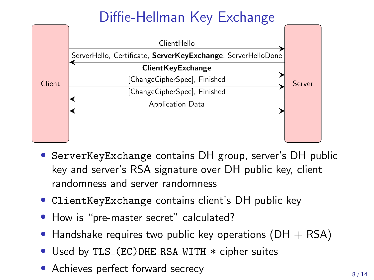# Diffie-Hellman Key Exchange



- ServerKeyExchange contains DH group, server's DH public key and server's RSA signature over DH public key, client randomness and server randomness
- ClientKeyExchange contains client's DH public key
- How is "pre-master secret" calculated?
- Handshake requires two public key operations ( $DH + RSA$ )
- Used by TLS\_(EC)DHE\_RSA\_WITH\_\* cipher suites
- Achieves perfect forward secrecy  $8/14$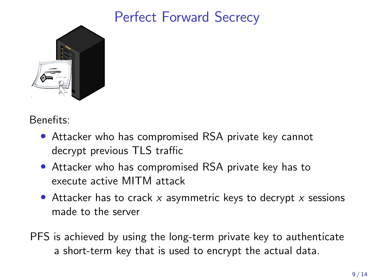## Perfect Forward Secrecy



Benefits:

- Attacker who has compromised RSA private key cannot decrypt previous TLS traffic
- Attacker who has compromised RSA private key has to execute active MITM attack
- Attacker has to crack  $x$  asymmetric keys to decrypt  $x$  sessions made to the server
- PFS is achieved by using the long-term private key to authenticate a short-term key that is used to encrypt the actual data.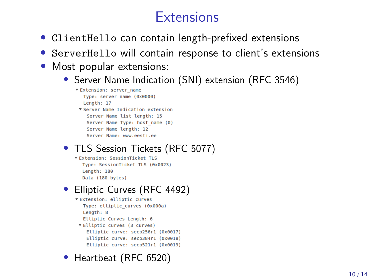## **Extensions**

- ClientHello can contain length-prefixed extensions
- ServerHello will contain response to client's extensions
- Most popular extensions:
	- Server Name Indication (SNI) extension (RFC 3546)
		- ▼ Extension: server name Type: server name (0x0000) Length: 17 ▼ Server Name Indication extension Server Name list length: 15 Server Name Type: host name (0) Server Name length: 12 Server Name: www.eesti.ee
	- TLS Session Tickets (RFC 5077)
		- Type: SessionTicket TLS (0x0023) Length: 180 Data (180 bytes)

#### • Elliptic Curves (RFC 4492)

- **VExtension: elliptic curves** Type: elliptic curves (0x000a) Length: 8 Elliptic Curves Length: 6 ▼ Elliptic curves (3 curves) Elliptic curve: secp256r1 (0x0017) Elliptic curve: secp384r1 (0x0018) Elliptic curve: secp521r1 (0x0019)
- Heartbeat (RFC 6520)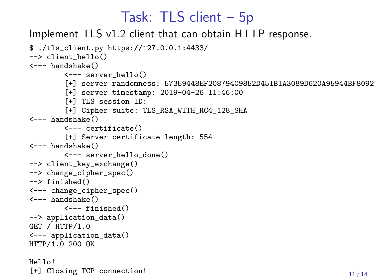#### Task: TLS client – 5p

Implement TLS v1.2 client that can obtain HTTP response.

```
$ ./tls_client.py https://127.0.0.1:4433/
--> client hello()
<--- handshake()
        <--- server_hello()
        [+] server randomness: 57359448EF20879409852D451B1A3089D620A95944BF8092
        [+] server timestamp: 2019-04-26 11:46:00
        [+] TLS session ID:
        [+] Cipher suite: TLS_RSA_WITH_RC4_128_SHA
<--- handshake()
        <--- certificate()
        [+] Server certificate length: 554
<--- handshake()
        <--- server_hello_done()
--> client_key_exchange()
--> change_cipher_spec()
--> finished()
<--- change_cipher_spec()
<--- handshake()
        \left\langle \begin{array}{cc} - - - & f \text{inside} \end{array} \right\rangle--> application_data()
GET / HTTP/1.0
<--- application_data()
HTTP/1.0 200 OK
Hello!
[+] Closing TCP connection! 11/14
```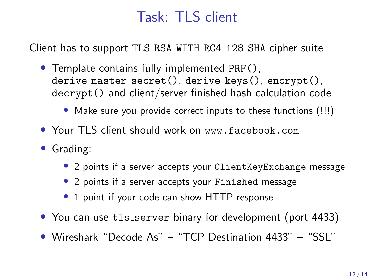## Task: TLS client

Client has to support TLS RSA WITH RC4 128 SHA cipher suite

- Template contains fully implemented PRF(), derive master secret(), derive keys(), encrypt(), decrypt() and client/server finished hash calculation code
	- Make sure you provide correct inputs to these functions (!!!)
- Your TLS client should work on www.facebook.com
- Grading:
	- 2 points if a server accepts your ClientKeyExchange message
	- 2 points if a server accepts your Finished message
	- 1 point if your code can show HTTP response
- You can use tls\_server binary for development (port 4433)
- Wireshark "Decode As" "TCP Destination 4433" "SSL"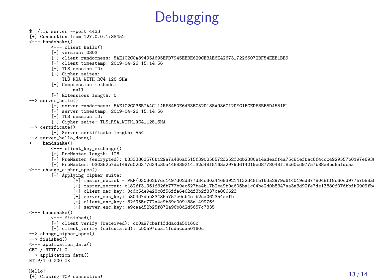

```
$ ./tls_server --port 4433
[+] Connection from 127.0.0.1:38452
<--- handshake()
        \leftarrow-- client_hello()
        [+] version: 0303
         [+] client randomness: 5AE1C2C0A89495A695EFD7945EEBE629CE3AE6E42673172266072BF54EEE1BB9
         [+] client timestamp: 2019-04-26 15:14:56
        [+] TLS session ID:
        [+] Cipher suites:
             TLS_RSA_WITH_RC4_128_SHA
        [+] Compression methods:
                 null
        [+] Extensions length: 0
--> server_hello()
         [+] server randomness: 5AE1C2C036B7A4C11ABF8450E64B3EC52D188A936C12DEC1FCEDF8BE5DA551F1
        [+] server timestamp: 2019-04-26 15:14:56
         [+] TLS session ID:
        [+] Cipher suite: TLS_RSA_WITH_RC4_128_SHA
--> certificate()
        [+] Server certificate length: 554
--> server hello done()
<--- handshake()
        <--- client_key_exchange()
         [+] PreMaster length: 128
         [+] PreMaster (encrypted): b333386d576b129a7a486a0515f390258572d252f0db2380e14adeaff4a75c81efbac6f4ccc4929557b0197e6938a46ecf4f1bb7530cf91bc21f3d459d7ac5a9ab6b977b53af00cddbb11f25fed5c8733d06ef4be03624139e96a4e61c8f0bba3e5ff0c89857b6057cfc9e5c9ed66c713125dc39041bcf0ceb0684d4cda29a39
         [+] PreMaster: 030362b7dc1497d02d377d34c30a446839214f32d48f5163a2979d614019ed8778048ff8c60cd97757b88a8bd6afdc5a
<--- change_cipher_spec()
        [+] Applying cipher suite:
                 [+] master secret = PRF(030362b7dc1497d02d377d34c30a446839214f32d48f5163a2979d614019ed8778048ff8c60cd97757b88a
                 [+] master secret: c182ff31961f326b777b9ec627ba4b17b2ea9b0a606ba1c04be2d0b8347aa3a3d92fe7de13880f07dbbfb9909fb
                 [+] client mac key: 0cdc5de9428c8f56ffa6e62df3b2f837ce866623
                 [+] server mac key: a304d7dae33435a757e0eb4efb2ca062354aefbf
                 [+] client enc_key: 82f955c772a4e9b39c009188a149976f
                 [+] server_enc_key: e9caad52b25f872a96b8d2d5657c7835
<--- handshake()
        <--- finished()
        [+] client_verify (received): cb0a97cbaf1fddacda50160c
        [+] client_verify (calculated): cb0a97cbaf1fddacda50160c
--> change_cipher_spec()
--> finished()
<--- application_data()
GET / HTTP/1.0
--> application data()
HTTP/1.0 200 OK
Hello!
neulo:<br>[+] Closing TCP connection! 13 / 14
```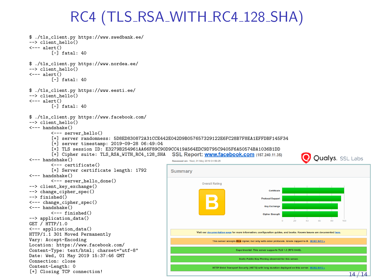## RC4 (TLS\_RSA\_WITH\_RC4\_128\_SHA)

```
$ ./tls_client.py https://www.swedbank.ee/
--> client hello()
<--- alert()
           [-] fatal: 40
$ ./tls_client.py https://www.nordea.ee/
--> client_hello()
\leftarrow-- alert()[-] fatal: 40
$ ./tls_client.py https://www.eesti.ee/
--> client hello()
<--- alert()
           [-] fatal: 40
$ ./tls client.py https://www.facebook.com/
--> client hello()
<--- handshake()
           <--- server_hello()
           [+] server randomness: 5D8ED830872A31CCE442E042D9B057657329122E6FC28B7F8EA1EFFDBF145F34
           [+] server timestamp: 2019-09-28 06:49:04
           [+] TLS session ID: E3279B254961AA66F89C90D9CC419A564EDC9D795C9405F6A50574BA1036B1DD<br>[+] Cipher suite: TLS RSA WITH RC4 128 SHA SSL Report: www.facebook.com (157.240.11.35)
           [-1] Cipher suite: TLS RSA WITH RC4 128 SHA
                                                                                                                                             Oualys. SSL Labs
<--- handshake()
                                                                       Assessed on: Wed, 01 May 2019 04:56:25
           <--- certificate()
           [+] Server certificate length: 1792
                                                                      Summary
<--- handshake()
           <--- server_hello_done()
                                                                                      Overall Rating
--> client_key_exchange()
--> change_cipher_spec()
                                                                                                                        Certificate
--> finished()
                                                                                                                   Protocol Suppo
<--- change_cipher_spec()
<--- handshake()
                                                                                                                     Key Furham
           <--- finished()
                                                                                                                     Circher Strengt
--> application data()
GET / HTTP/1.0
<--- application_data()
                                                                                   Visit our documentation page for more information, conflouration guides, and books. Known issues are documented here
HTTP/1.1 301 Moved Permanently
Vary: Accept-Encoding
                                                                                           This server accepts RC4 cipher, but only with older protocols. Grade capped to B. MORE INFO a
Location: https://www.facebook.com/
Content-Type: text/html; charset="utf-8"
                                                                                                           nental: This server supports TLS 1.3 (RFC 8446)
Date: Wed, 01 May 2019 15:37:46 GMT
                                                                                                        Static Public Key Pinning observed for this server.
Connection: close
Content-Length: 0<br>[+] Closing TCP connection!
                                                                                           HTTP Strict Transport Security (HSTS) with long duration deployed on this server. NORE INFO
[+] Closing TCP connection! 14 / 14 and 14 and 14 and 14 and 14 and 14 and 14 and 14 and 14 and 14 and 14 and 14 and 14 and 14 and 14 and 14 and 14 and 14 and 14 and 14 and 14 and 14 and 14 and 14 and 14 and 14 and 14 and
```